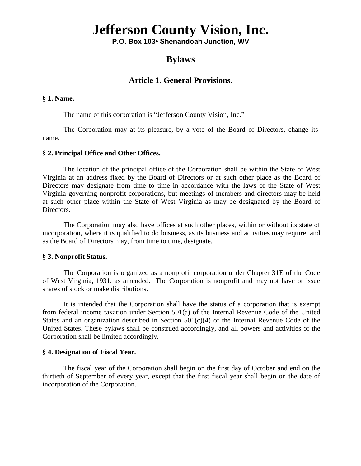# **Jefferson County Vision, Inc.**

**P.O. Box 103• Shenandoah Junction, WV** 

# **Bylaws**

# **Article 1. General Provisions.**

#### **§ 1. Name.**

The name of this corporation is "Jefferson County Vision, Inc."

name. The Corporation may at its pleasure, by a vote of the Board of Directors, change its

### **§ 2. Principal Office and Other Offices.**

The location of the principal office of the Corporation shall be within the State of West Virginia at an address fixed by the Board of Directors or at such other place as the Board of Directors may designate from time to time in accordance with the laws of the State of West Virginia governing nonprofit corporations, but meetings of members and directors may be held at such other place within the State of West Virginia as may be designated by the Board of Directors.

The Corporation may also have offices at such other places, within or without its state of incorporation, where it is qualified to do business, as its business and activities may require, and as the Board of Directors may, from time to time, designate.

#### **§ 3. Nonprofit Status.**

The Corporation is organized as a nonprofit corporation under Chapter 31E of the Code of West Virginia, 1931, as amended. The Corporation is nonprofit and may not have or issue shares of stock or make distributions.

It is intended that the Corporation shall have the status of a corporation that is exempt from federal income taxation under Section 501(a) of the Internal Revenue Code of the United States and an organization described in Section 501(c)(4) of the Internal Revenue Code of the United States. These bylaws shall be construed accordingly, and all powers and activities of the Corporation shall be limited accordingly.

#### **§ 4. Designation of Fiscal Year.**

The fiscal year of the Corporation shall begin on the first day of October and end on the thirtieth of September of every year, except that the first fiscal year shall begin on the date of incorporation of the Corporation.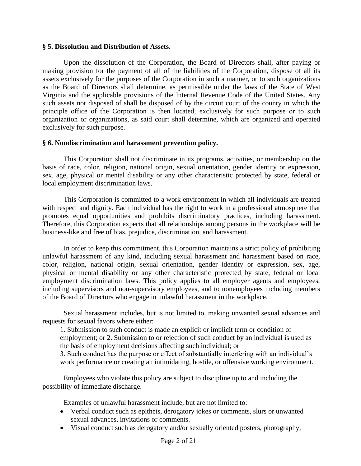### **§ 5. Dissolution and Distribution of Assets.**

Upon the dissolution of the Corporation, the Board of Directors shall, after paying or making provision for the payment of all of the liabilities of the Corporation, dispose of all its assets exclusively for the purposes of the Corporation in such a manner, or to such organizations as the Board of Directors shall determine, as permissible under the laws of the State of West Virginia and the applicable provisions of the Internal Revenue Code of the United States. Any such assets not disposed of shall be disposed of by the circuit court of the county in which the principle office of the Corporation is then located, exclusively for such purpose or to such organization or organizations, as said court shall determine, which are organized and operated exclusively for such purpose.

### **§ 6. Nondiscrimination and harassment prevention policy.**

This Corporation shall not discriminate in its programs, activities, or membership on the basis of race, color, religion, national origin, sexual orientation, gender identity or expression, sex, age, physical or mental disability or any other characteristic protected by state, federal or local employment discrimination laws.

This Corporation is committed to a work environment in which all individuals are treated with respect and dignity. Each individual has the right to work in a professional atmosphere that promotes equal opportunities and prohibits discriminatory practices, including harassment. Therefore, this Corporation expects that all relationships among persons in the workplace will be business-like and free of bias, prejudice, discrimination, and harassment.

In order to keep this commitment, this Corporation maintains a strict policy of prohibiting unlawful harassment of any kind, including sexual harassment and harassment based on race, color, religion, national origin, sexual orientation, gender identity or expression, sex, age, physical or mental disability or any other characteristic protected by state, federal or local employment discrimination laws. This policy applies to all employer agents and employees, including supervisors and non-supervisory employees, and to nonemployees including members of the Board of Directors who engage in unlawful harassment in the workplace.

Sexual harassment includes, but is not limited to, making unwanted sexual advances and requests for sexual favors where either:

1. Submission to such conduct is made an explicit or implicit term or condition of employment; or 2. Submission to or rejection of such conduct by an individual is used as the basis of employment decisions affecting such individual; or

3. Such conduct has the purpose or effect of substantially interfering with an individual's work performance or creating an intimidating, hostile, or offensive working environment.

Employees who violate this policy are subject to discipline up to and including the possibility of immediate discharge.

Examples of unlawful harassment include, but are not limited to:

- Verbal conduct such as epithets, derogatory jokes or comments, slurs or unwanted sexual advances, invitations or comments.
- Visual conduct such as derogatory and/or sexually oriented posters, photography,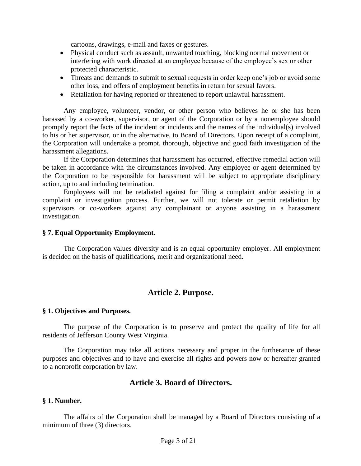cartoons, drawings, e-mail and faxes or gestures.

- Physical conduct such as assault, unwanted touching, blocking normal movement or interfering with work directed at an employee because of the employee's sex or other protected characteristic.
- Threats and demands to submit to sexual requests in order keep one's job or avoid some other loss, and offers of employment benefits in return for sexual favors.
- Retaliation for having reported or threatened to report unlawful harassment.

Any employee, volunteer, vendor, or other person who believes he or she has been harassed by a co-worker, supervisor, or agent of the Corporation or by a nonemployee should promptly report the facts of the incident or incidents and the names of the individual(s) involved to his or her supervisor, or in the alternative, to Board of Directors. Upon receipt of a complaint, the Corporation will undertake a prompt, thorough, objective and good faith investigation of the harassment allegations.

If the Corporation determines that harassment has occurred, effective remedial action will be taken in accordance with the circumstances involved. Any employee or agent determined by the Corporation to be responsible for harassment will be subject to appropriate disciplinary action, up to and including termination.

Employees will not be retaliated against for filing a complaint and/or assisting in a complaint or investigation process. Further, we will not tolerate or permit retaliation by supervisors or co-workers against any complainant or anyone assisting in a harassment investigation.

#### **§ 7. Equal Opportunity Employment.**

The Corporation values diversity and is an equal opportunity employer. All employment is decided on the basis of qualifications, merit and organizational need.

# **Article 2. Purpose.**

#### **§ 1. Objectives and Purposes.**

The purpose of the Corporation is to preserve and protect the quality of life for all residents of Jefferson County West Virginia.

The Corporation may take all actions necessary and proper in the furtherance of these purposes and objectives and to have and exercise all rights and powers now or hereafter granted to a nonprofit corporation by law.

# **Article 3. Board of Directors.**

#### **§ 1. Number.**

The affairs of the Corporation shall be managed by a Board of Directors consisting of a minimum of three (3) directors.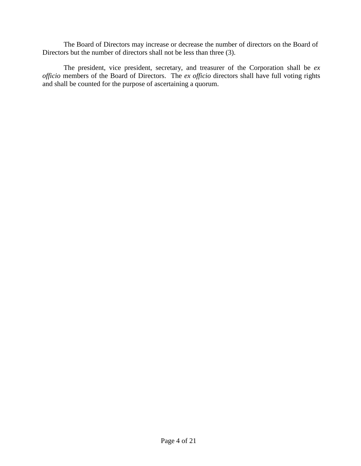The Board of Directors may increase or decrease the number of directors on the Board of Directors but the number of directors shall not be less than three (3).

The president, vice president, secretary, and treasurer of the Corporation shall be *ex officio* members of the Board of Directors. The *ex officio* directors shall have full voting rights and shall be counted for the purpose of ascertaining a quorum.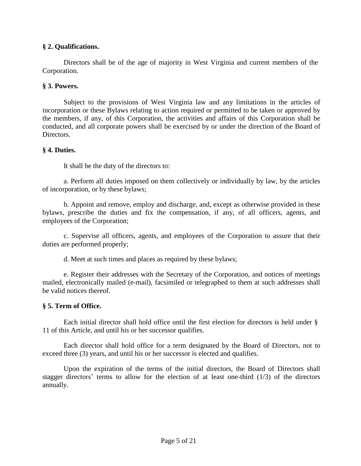# **§ 2. Qualifications.**

Directors shall be of the age of majority in West Virginia and current members of the Corporation.

### **§ 3. Powers.**

Subject to the provisions of West Virginia law and any limitations in the articles of incorporation or these Bylaws relating to action required or permitted to be taken or approved by the members, if any, of this Corporation, the activities and affairs of this Corporation shall be conducted, and all corporate powers shall be exercised by or under the direction of the Board of Directors.

### **§ 4. Duties.**

It shall be the duty of the directors to:

a. Perform all duties imposed on them collectively or individually by law, by the articles of incorporation, or by these bylaws;

b. Appoint and remove, employ and discharge, and, except as otherwise provided in these bylaws, prescribe the duties and fix the compensation, if any, of all officers, agents, and employees of the Corporation;

c. Supervise all officers, agents, and employees of the Corporation to assure that their duties are performed properly;

d. Meet at such times and places as required by these bylaws;

e. Register their addresses with the Secretary of the Corporation, and notices of meetings mailed, electronically mailed (e-mail), facsimiled or telegraphed to them at such addresses shall be valid notices thereof.

### **§ 5. Term of Office.**

Each initial director shall hold office until the first election for directors is held under § 11 of this Article, and until his or her successor qualifies.

Each director shall hold office for a term designated by the Board of Directors, not to exceed three (3) years, and until his or her successor is elected and qualifies.

Upon the expiration of the terms of the initial directors, the Board of Directors shall stagger directors' terms to allow for the election of at least one-third (1/3) of the directors annually.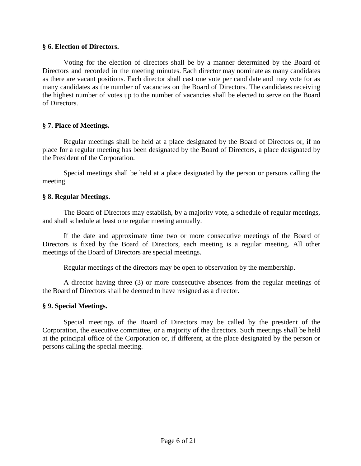### **§ 6. Election of Directors.**

Voting for the election of directors shall be by a manner determined by the Board of Directors and recorded in the meeting minutes. Each director may nominate as many candidates as there are vacant positions. Each director shall cast one vote per candidate and may vote for as many candidates as the number of vacancies on the Board of Directors. The candidates receiving the highest number of votes up to the number of vacancies shall be elected to serve on the Board of Directors.

### **§ 7. Place of Meetings.**

Regular meetings shall be held at a place designated by the Board of Directors or, if no place for a regular meeting has been designated by the Board of Directors, a place designated by the President of the Corporation.

Special meetings shall be held at a place designated by the person or persons calling the meeting.

### **§ 8. Regular Meetings.**

The Board of Directors may establish, by a majority vote, a schedule of regular meetings, and shall schedule at least one regular meeting annually.

If the date and approximate time two or more consecutive meetings of the Board of Directors is fixed by the Board of Directors, each meeting is a regular meeting. All other meetings of the Board of Directors are special meetings.

Regular meetings of the directors may be open to observation by the membership.

A director having three (3) or more consecutive absences from the regular meetings of the Board of Directors shall be deemed to have resigned as a director.

### **§ 9. Special Meetings.**

Special meetings of the Board of Directors may be called by the president of the Corporation, the executive committee, or a majority of the directors. Such meetings shall be held at the principal office of the Corporation or, if different, at the place designated by the person or persons calling the special meeting.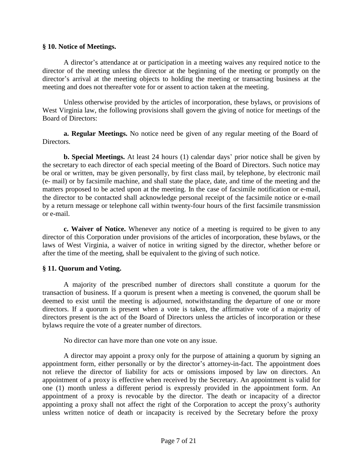### **§ 10. Notice of Meetings.**

A director's attendance at or participation in a meeting waives any required notice to the director of the meeting unless the director at the beginning of the meeting or promptly on the director's arrival at the meeting objects to holding the meeting or transacting business at the meeting and does not thereafter vote for or assent to action taken at the meeting.

Unless otherwise provided by the articles of incorporation, these bylaws, or provisions of West Virginia law, the following provisions shall govern the giving of notice for meetings of the Board of Directors:

**a. Regular Meetings.** No notice need be given of any regular meeting of the Board of Directors.

**b. Special Meetings.** At least 24 hours (1) calendar days' prior notice shall be given by the secretary to each director of each special meeting of the Board of Directors. Such notice may be oral or written, may be given personally, by first class mail, by telephone, by electronic mail (e- mail) or by facsimile machine, and shall state the place, date, and time of the meeting and the matters proposed to be acted upon at the meeting. In the case of facsimile notification or e-mail, the director to be contacted shall acknowledge personal receipt of the facsimile notice or e-mail by a return message or telephone call within twenty-four hours of the first facsimile transmission or e-mail.

**c. Waiver of Notice.** Whenever any notice of a meeting is required to be given to any director of this Corporation under provisions of the articles of incorporation, these bylaws, or the laws of West Virginia, a waiver of notice in writing signed by the director, whether before or after the time of the meeting, shall be equivalent to the giving of such notice.

# **§ 11. Quorum and Voting.**

A majority of the prescribed number of directors shall constitute a quorum for the transaction of business. If a quorum is present when a meeting is convened, the quorum shall be deemed to exist until the meeting is adjourned, notwithstanding the departure of one or more directors. If a quorum is present when a vote is taken, the affirmative vote of a majority of directors present is the act of the Board of Directors unless the articles of incorporation or these bylaws require the vote of a greater number of directors.

No director can have more than one vote on any issue.

A director may appoint a proxy only for the purpose of attaining a quorum by signing an appointment form, either personally or by the director's attorney-in-fact. The appointment does not relieve the director of liability for acts or omissions imposed by law on directors. An appointment of a proxy is effective when received by the Secretary. An appointment is valid for one (1) month unless a different period is expressly provided in the appointment form. An appointment of a proxy is revocable by the director. The death or incapacity of a director appointing a proxy shall not affect the right of the Corporation to accept the proxy's authority unless written notice of death or incapacity is received by the Secretary before the proxy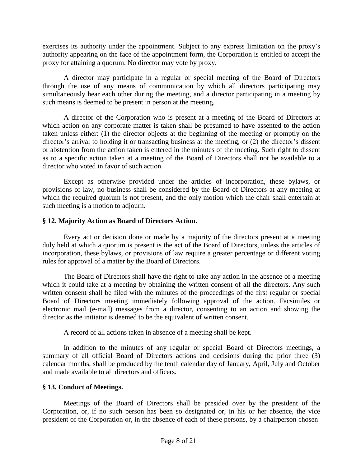exercises its authority under the appointment. Subject to any express limitation on the proxy's authority appearing on the face of the appointment form, the Corporation is entitled to accept the proxy for attaining a quorum. No director may vote by proxy.

A director may participate in a regular or special meeting of the Board of Directors through the use of any means of communication by which all directors participating may simultaneously hear each other during the meeting, and a director participating in a meeting by such means is deemed to be present in person at the meeting.

A director of the Corporation who is present at a meeting of the Board of Directors at which action on any corporate matter is taken shall be presumed to have assented to the action taken unless either: (1) the director objects at the beginning of the meeting or promptly on the director's arrival to holding it or transacting business at the meeting; or (2) the director's dissent or abstention from the action taken is entered in the minutes of the meeting. Such right to dissent as to a specific action taken at a meeting of the Board of Directors shall not be available to a director who voted in favor of such action.

Except as otherwise provided under the articles of incorporation, these bylaws, or provisions of law, no business shall be considered by the Board of Directors at any meeting at which the required quorum is not present, and the only motion which the chair shall entertain at such meeting is a motion to adjourn.

### **§ 12. Majority Action as Board of Directors Action.**

Every act or decision done or made by a majority of the directors present at a meeting duly held at which a quorum is present is the act of the Board of Directors, unless the articles of incorporation, these bylaws, or provisions of law require a greater percentage or different voting rules for approval of a matter by the Board of Directors.

The Board of Directors shall have the right to take any action in the absence of a meeting which it could take at a meeting by obtaining the written consent of all the directors. Any such written consent shall be filed with the minutes of the proceedings of the first regular or special Board of Directors meeting immediately following approval of the action. Facsimiles or electronic mail (e-mail) messages from a director, consenting to an action and showing the director as the initiator is deemed to be the equivalent of written consent.

A record of all actions taken in absence of a meeting shall be kept.

In addition to the minutes of any regular or special Board of Directors meetings, a summary of all official Board of Directors actions and decisions during the prior three (3) calendar months, shall be produced by the tenth calendar day of January, April, July and October and made available to all directors and officers.

# **§ 13. Conduct of Meetings.**

Meetings of the Board of Directors shall be presided over by the president of the Corporation, or, if no such person has been so designated or, in his or her absence, the vice president of the Corporation or, in the absence of each of these persons, by a chairperson chosen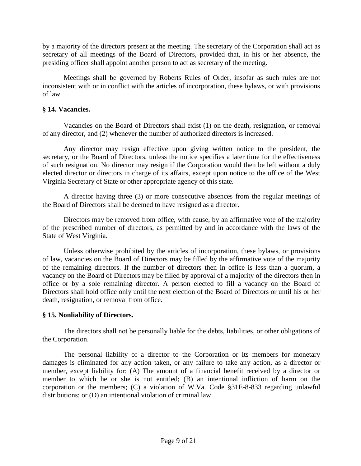by a majority of the directors present at the meeting. The secretary of the Corporation shall act as secretary of all meetings of the Board of Directors, provided that, in his or her absence, the presiding officer shall appoint another person to act as secretary of the meeting.

Meetings shall be governed by Roberts Rules of Order, insofar as such rules are not inconsistent with or in conflict with the articles of incorporation, these bylaws, or with provisions of law.

### **§ 14. Vacancies.**

Vacancies on the Board of Directors shall exist (1) on the death, resignation, or removal of any director, and (2) whenever the number of authorized directors is increased.

Any director may resign effective upon giving written notice to the president, the secretary, or the Board of Directors, unless the notice specifies a later time for the effectiveness of such resignation. No director may resign if the Corporation would then be left without a duly elected director or directors in charge of its affairs, except upon notice to the office of the West Virginia Secretary of State or other appropriate agency of this state.

A director having three (3) or more consecutive absences from the regular meetings of the Board of Directors shall be deemed to have resigned as a director.

Directors may be removed from office, with cause, by an affirmative vote of the majority of the prescribed number of directors, as permitted by and in accordance with the laws of the State of West Virginia.

Unless otherwise prohibited by the articles of incorporation, these bylaws, or provisions of law, vacancies on the Board of Directors may be filled by the affirmative vote of the majority of the remaining directors. If the number of directors then in office is less than a quorum, a vacancy on the Board of Directors may be filled by approval of a majority of the directors then in office or by a sole remaining director. A person elected to fill a vacancy on the Board of Directors shall hold office only until the next election of the Board of Directors or until his or her death, resignation, or removal from office.

# **§ 15. Nonliability of Directors.**

The directors shall not be personally liable for the debts, liabilities, or other obligations of the Corporation.

The personal liability of a director to the Corporation or its members for monetary damages is eliminated for any action taken, or any failure to take any action, as a director or member, except liability for: (A) The amount of a financial benefit received by a director or member to which he or she is not entitled; (B) an intentional infliction of harm on the corporation or the members; (C) a violation of W.Va. Code §31E-8-833 regarding unlawful distributions; or (D) an intentional violation of criminal law.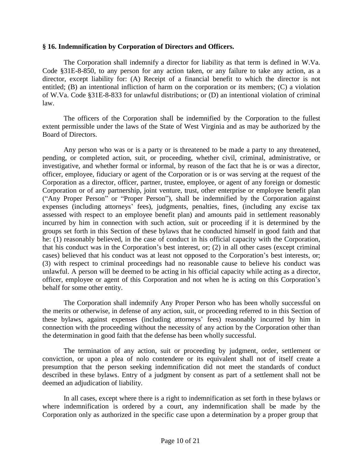### **§ 16. Indemnification by Corporation of Directors and Officers.**

The Corporation shall indemnify a director for liability as that term is defined in W.Va. Code §31E-8-850, to any person for any action taken, or any failure to take any action, as a director, except liability for: (A) Receipt of a financial benefit to which the director is not entitled; (B) an intentional infliction of harm on the corporation or its members; (C) a violation of W.Va. Code §31E-8-833 for unlawful distributions; or (D) an intentional violation of criminal law.

The officers of the Corporation shall be indemnified by the Corporation to the fullest extent permissible under the laws of the State of West Virginia and as may be authorized by the Board of Directors.

Any person who was or is a party or is threatened to be made a party to any threatened, pending, or completed action, suit, or proceeding, whether civil, criminal, administrative, or investigative, and whether formal or informal, by reason of the fact that he is or was a director, officer, employee, fiduciary or agent of the Corporation or is or was serving at the request of the Corporation as a director, officer, partner, trustee, employee, or agent of any foreign or domestic Corporation or of any partnership, joint venture, trust, other enterprise or employee benefit plan ("Any Proper Person" or "Proper Person"), shall be indemnified by the Corporation against expenses (including attorneys' fees), judgments, penalties, fines, (including any excise tax assessed with respect to an employee benefit plan) and amounts paid in settlement reasonably incurred by him in connection with such action, suit or proceeding if it is determined by the groups set forth in this Section of these bylaws that he conducted himself in good faith and that he: (1) reasonably believed, in the case of conduct in his official capacity with the Corporation, that his conduct was in the Corporation's best interest, or; (2) in all other cases (except criminal cases) believed that his conduct was at least not opposed to the Corporation's best interests, or; (3) with respect to criminal proceedings had no reasonable cause to believe his conduct was unlawful. A person will be deemed to be acting in his official capacity while acting as a director, officer, employee or agent of this Corporation and not when he is acting on this Corporation's behalf for some other entity.

The Corporation shall indemnify Any Proper Person who has been wholly successful on the merits or otherwise, in defense of any action, suit, or proceeding referred to in this Section of these bylaws, against expenses (including attorneys' fees) reasonably incurred by him in connection with the proceeding without the necessity of any action by the Corporation other than the determination in good faith that the defense has been wholly successful.

The termination of any action, suit or proceeding by judgment, order, settlement or conviction, or upon a plea of nolo contendere or its equivalent shall not of itself create a presumption that the person seeking indemnification did not meet the standards of conduct described in these bylaws. Entry of a judgment by consent as part of a settlement shall not be deemed an adjudication of liability.

In all cases, except where there is a right to indemnification as set forth in these bylaws or where indemnification is ordered by a court, any indemnification shall be made by the Corporation only as authorized in the specific case upon a determination by a proper group that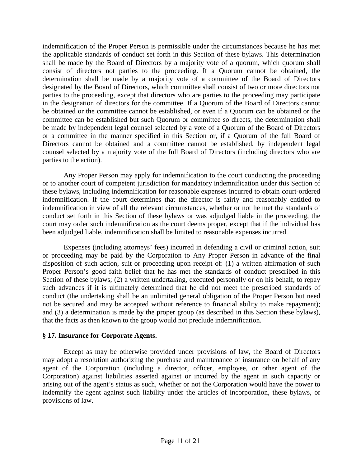indemnification of the Proper Person is permissible under the circumstances because he has met the applicable standards of conduct set forth in this Section of these bylaws. This determination shall be made by the Board of Directors by a majority vote of a quorum, which quorum shall consist of directors not parties to the proceeding. If a Quorum cannot be obtained, the determination shall be made by a majority vote of a committee of the Board of Directors designated by the Board of Directors, which committee shall consist of two or more directors not parties to the proceeding, except that directors who are parties to the proceeding may participate in the designation of directors for the committee. If a Quorum of the Board of Directors cannot be obtained or the committee cannot be established, or even if a Quorum can be obtained or the committee can be established but such Quorum or committee so directs, the determination shall be made by independent legal counsel selected by a vote of a Quorum of the Board of Directors or a committee in the manner specified in this Section or, if a Quorum of the full Board of Directors cannot be obtained and a committee cannot be established, by independent legal counsel selected by a majority vote of the full Board of Directors (including directors who are parties to the action).

Any Proper Person may apply for indemnification to the court conducting the proceeding or to another court of competent jurisdiction for mandatory indemnification under this Section of these bylaws, including indemnification for reasonable expenses incurred to obtain court-ordered indemnification. If the court determines that the director is fairly and reasonably entitled to indemnification in view of all the relevant circumstances, whether or not he met the standards of conduct set forth in this Section of these bylaws or was adjudged liable in the proceeding, the court may order such indemnification as the court deems proper, except that if the individual has been adjudged liable, indemnification shall be limited to reasonable expenses incurred.

Expenses (including attorneys' fees) incurred in defending a civil or criminal action, suit or proceeding may be paid by the Corporation to Any Proper Person in advance of the final disposition of such action, suit or proceeding upon receipt of: (1) a written affirmation of such Proper Person's good faith belief that he has met the standards of conduct prescribed in this Section of these bylaws; (2) a written undertaking, executed personally or on his behalf, to repay such advances if it is ultimately determined that he did not meet the prescribed standards of conduct (the undertaking shall be an unlimited general obligation of the Proper Person but need not be secured and may be accepted without reference to financial ability to make repayment); and (3) a determination is made by the proper group (as described in this Section these bylaws), that the facts as then known to the group would not preclude indemnification.

### **§ 17. Insurance for Corporate Agents.**

Except as may be otherwise provided under provisions of law, the Board of Directors may adopt a resolution authorizing the purchase and maintenance of insurance on behalf of any agent of the Corporation (including a director, officer, employee, or other agent of the Corporation) against liabilities asserted against or incurred by the agent in such capacity or arising out of the agent's status as such, whether or not the Corporation would have the power to indemnify the agent against such liability under the articles of incorporation, these bylaws, or provisions of law.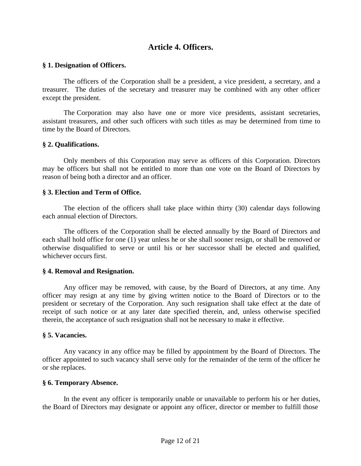# **Article 4. Officers.**

### **§ 1. Designation of Officers.**

The officers of the Corporation shall be a president, a vice president, a secretary, and a treasurer. The duties of the secretary and treasurer may be combined with any other officer except the president.

The Corporation may also have one or more vice presidents, assistant secretaries, assistant treasurers, and other such officers with such titles as may be determined from time to time by the Board of Directors.

### **§ 2. Qualifications.**

Only members of this Corporation may serve as officers of this Corporation. Directors may be officers but shall not be entitled to more than one vote on the Board of Directors by reason of being both a director and an officer.

### **§ 3. Election and Term of Office.**

The election of the officers shall take place within thirty (30) calendar days following each annual election of Directors.

The officers of the Corporation shall be elected annually by the Board of Directors and each shall hold office for one (1) year unless he or she shall sooner resign, or shall be removed or otherwise disqualified to serve or until his or her successor shall be elected and qualified, whichever occurs first.

### **§ 4. Removal and Resignation.**

Any officer may be removed, with cause, by the Board of Directors, at any time. Any officer may resign at any time by giving written notice to the Board of Directors or to the president or secretary of the Corporation. Any such resignation shall take effect at the date of receipt of such notice or at any later date specified therein, and, unless otherwise specified therein, the acceptance of such resignation shall not be necessary to make it effective.

#### **§ 5. Vacancies.**

Any vacancy in any office may be filled by appointment by the Board of Directors. The officer appointed to such vacancy shall serve only for the remainder of the term of the officer he or she replaces.

#### **§ 6. Temporary Absence.**

In the event any officer is temporarily unable or unavailable to perform his or her duties, the Board of Directors may designate or appoint any officer, director or member to fulfill those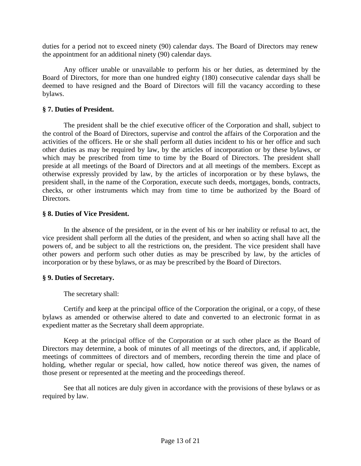duties for a period not to exceed ninety (90) calendar days. The Board of Directors may renew the appointment for an additional ninety (90) calendar days.

Any officer unable or unavailable to perform his or her duties, as determined by the Board of Directors, for more than one hundred eighty (180) consecutive calendar days shall be deemed to have resigned and the Board of Directors will fill the vacancy according to these bylaws.

# **§ 7. Duties of President.**

The president shall be the chief executive officer of the Corporation and shall, subject to the control of the Board of Directors, supervise and control the affairs of the Corporation and the activities of the officers. He or she shall perform all duties incident to his or her office and such other duties as may be required by law, by the articles of incorporation or by these bylaws, or which may be prescribed from time to time by the Board of Directors. The president shall preside at all meetings of the Board of Directors and at all meetings of the members. Except as otherwise expressly provided by law, by the articles of incorporation or by these bylaws, the president shall, in the name of the Corporation, execute such deeds, mortgages, bonds, contracts, checks, or other instruments which may from time to time be authorized by the Board of Directors.

### **§ 8. Duties of Vice President.**

In the absence of the president, or in the event of his or her inability or refusal to act, the vice president shall perform all the duties of the president, and when so acting shall have all the powers of, and be subject to all the restrictions on, the president. The vice president shall have other powers and perform such other duties as may be prescribed by law, by the articles of incorporation or by these bylaws, or as may be prescribed by the Board of Directors.

# **§ 9. Duties of Secretary.**

The secretary shall:

Certify and keep at the principal office of the Corporation the original, or a copy, of these bylaws as amended or otherwise altered to date and converted to an electronic format in as expedient matter as the Secretary shall deem appropriate.

Keep at the principal office of the Corporation or at such other place as the Board of Directors may determine, a book of minutes of all meetings of the directors, and, if applicable, meetings of committees of directors and of members, recording therein the time and place of holding, whether regular or special, how called, how notice thereof was given, the names of those present or represented at the meeting and the proceedings thereof.

See that all notices are duly given in accordance with the provisions of these bylaws or as required by law.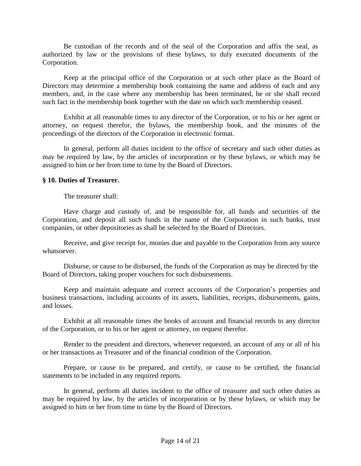Be custodian of the records and of the seal of the Corporation and affix the seal, as authorized by law or the provisions of these bylaws, to duly executed documents of the Corporation.

Keep at the principal office of the Corporation or at such other place as the Board of Directors may determine a membership book containing the name and address of each and any members, and, in the case where any membership has been terminated, he or she shall record such fact in the membership book together with the date on which such membership ceased.

Exhibit at all reasonable times to any director of the Corporation, or to his or her agent or attorney, on request therefor, the bylaws, the membership book, and the minutes of the proceedings of the directors of the Corporation in electronic format.

In general, perform all duties incident to the office of secretary and such other duties as may be required by law, by the articles of incorporation or by these bylaws, or which may be assigned to him or her from time to time by the Board of Directors.

### **§ 10. Duties of Treasurer.**

The treasurer shall:

Have charge and custody of, and be responsible for, all funds and securities of the Corporation, and deposit all such funds in the name of the Corporation in such banks, trust companies, or other depositories as shall be selected by the Board of Directors.

Receive, and give receipt for, monies due and payable to the Corporation from any source whatsoever.

Disburse, or cause to be disbursed, the funds of the Corporation as may be directed by the Board of Directors, taking proper vouchers for such disbursements.

Keep and maintain adequate and correct accounts of the Corporation's properties and business transactions, including accounts of its assets, liabilities, receipts, disbursements, gains, and losses.

Exhibit at all reasonable times the books of account and financial records to any director of the Corporation, or to his or her agent or attorney, on request therefor.

Render to the president and directors, whenever requested, an account of any or all of his or her transactions as Treasurer and of the financial condition of the Corporation.

Prepare, or cause to be prepared, and certify, or cause to be certified, the financial statements to be included in any required reports.

In general, perform all duties incident to the office of treasurer and such other duties as may be required by law, by the articles of incorporation or by these bylaws, or which may be assigned to him or her from time to time by the Board of Directors.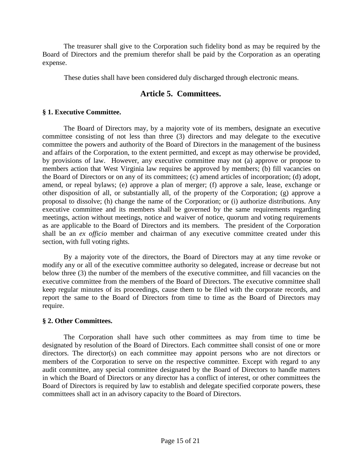The treasurer shall give to the Corporation such fidelity bond as may be required by the Board of Directors and the premium therefor shall be paid by the Corporation as an operating expense.

These duties shall have been considered duly discharged through electronic means.

# **Article 5. Committees.**

# **§ 1. Executive Committee.**

The Board of Directors may, by a majority vote of its members, designate an executive committee consisting of not less than three (3) directors and may delegate to the executive committee the powers and authority of the Board of Directors in the management of the business and affairs of the Corporation, to the extent permitted, and except as may otherwise be provided, by provisions of law. However, any executive committee may not (a) approve or propose to members action that West Virginia law requires be approved by members; (b) fill vacancies on the Board of Directors or on any of its committees; (c) amend articles of incorporation; (d) adopt, amend, or repeal bylaws; (e) approve a plan of merger; (f) approve a sale, lease, exchange or other disposition of all, or substantially all, of the property of the Corporation; (g) approve a proposal to dissolve; (h) change the name of the Corporation; or (i) authorize distributions. Any executive committee and its members shall be governed by the same requirements regarding meetings, action without meetings, notice and waiver of notice, quorum and voting requirements as are applicable to the Board of Directors and its members. The president of the Corporation shall be an *ex officio* member and chairman of any executive committee created under this section, with full voting rights.

By a majority vote of the directors, the Board of Directors may at any time revoke or modify any or all of the executive committee authority so delegated, increase or decrease but not below three (3) the number of the members of the executive committee, and fill vacancies on the executive committee from the members of the Board of Directors. The executive committee shall keep regular minutes of its proceedings, cause them to be filed with the corporate records, and report the same to the Board of Directors from time to time as the Board of Directors may require.

### **§ 2. Other Committees.**

The Corporation shall have such other committees as may from time to time be designated by resolution of the Board of Directors. Each committee shall consist of one or more directors. The director(s) on each committee may appoint persons who are not directors or members of the Corporation to serve on the respective committee. Except with regard to any audit committee, any special committee designated by the Board of Directors to handle matters in which the Board of Directors or any director has a conflict of interest, or other committees the Board of Directors is required by law to establish and delegate specified corporate powers, these committees shall act in an advisory capacity to the Board of Directors.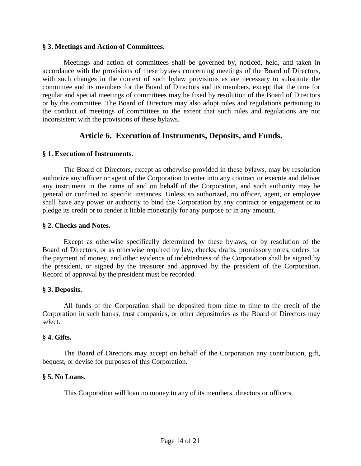### **§ 3. Meetings and Action of Committees.**

Meetings and action of committees shall be governed by, noticed, held, and taken in accordance with the provisions of these bylaws concerning meetings of the Board of Directors, with such changes in the context of such bylaw provisions as are necessary to substitute the committee and its members for the Board of Directors and its members, except that the time for regular and special meetings of committees may be fixed by resolution of the Board of Directors or by the committee. The Board of Directors may also adopt rules and regulations pertaining to the conduct of meetings of committees to the extent that such rules and regulations are not inconsistent with the provisions of these bylaws.

# **Article 6. Execution of Instruments, Deposits, and Funds.**

### **§ 1. Execution of Instruments.**

The Board of Directors, except as otherwise provided in these bylaws, may by resolution authorize any officer or agent of the Corporation to enter into any contract or execute and deliver any instrument in the name of and on behalf of the Corporation, and such authority may be general or confined to specific instances. Unless so authorized, no officer, agent, or employee shall have any power or authority to bind the Corporation by any contract or engagement or to pledge its credit or to render it liable monetarily for any purpose or in any amount.

### **§ 2. Checks and Notes.**

Except as otherwise specifically determined by these bylaws, or by resolution of the Board of Directors, or as otherwise required by law, checks, drafts, promissory notes, orders for the payment of money, and other evidence of indebtedness of the Corporation shall be signed by the president, or signed by the treasurer and approved by the president of the Corporation. Record of approval by the president must be recorded.

### **§ 3. Deposits.**

All funds of the Corporation shall be deposited from time to time to the credit of the Corporation in such banks, trust companies, or other depositories as the Board of Directors may select.

### **§ 4. Gifts.**

The Board of Directors may accept on behalf of the Corporation any contribution, gift, bequest, or devise for purposes of this Corporation.

### **§ 5. No Loans.**

This Corporation will loan no money to any of its members, directors or officers.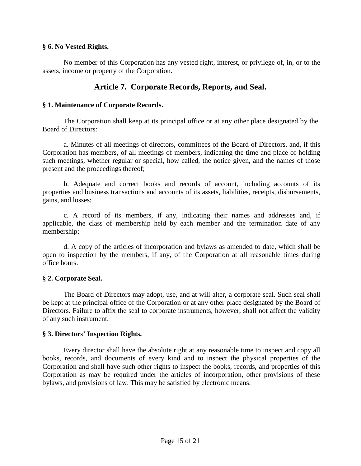### **§ 6. No Vested Rights.**

No member of this Corporation has any vested right, interest, or privilege of, in, or to the assets, income or property of the Corporation.

# **Article 7. Corporate Records, Reports, and Seal.**

# **§ 1. Maintenance of Corporate Records.**

The Corporation shall keep at its principal office or at any other place designated by the Board of Directors:

a. Minutes of all meetings of directors, committees of the Board of Directors, and, if this Corporation has members, of all meetings of members, indicating the time and place of holding such meetings, whether regular or special, how called, the notice given, and the names of those present and the proceedings thereof;

b. Adequate and correct books and records of account, including accounts of its properties and business transactions and accounts of its assets, liabilities, receipts, disbursements, gains, and losses;

c. A record of its members, if any, indicating their names and addresses and, if applicable, the class of membership held by each member and the termination date of any membership;

d. A copy of the articles of incorporation and bylaws as amended to date, which shall be open to inspection by the members, if any, of the Corporation at all reasonable times during office hours.

# **§ 2. Corporate Seal.**

The Board of Directors may adopt, use, and at will alter, a corporate seal. Such seal shall be kept at the principal office of the Corporation or at any other place designated by the Board of Directors. Failure to affix the seal to corporate instruments, however, shall not affect the validity of any such instrument.

### **§ 3. Directors' Inspection Rights.**

Every director shall have the absolute right at any reasonable time to inspect and copy all books, records, and documents of every kind and to inspect the physical properties of the Corporation and shall have such other rights to inspect the books, records, and properties of this Corporation as may be required under the articles of incorporation, other provisions of these bylaws, and provisions of law. This may be satisfied by electronic means.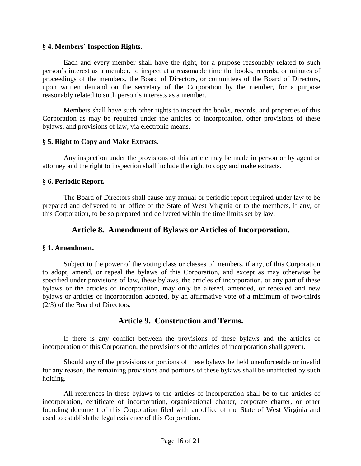### **§ 4. Members' Inspection Rights.**

Each and every member shall have the right, for a purpose reasonably related to such person's interest as a member, to inspect at a reasonable time the books, records, or minutes of proceedings of the members, the Board of Directors, or committees of the Board of Directors, upon written demand on the secretary of the Corporation by the member, for a purpose reasonably related to such person's interests as a member.

Members shall have such other rights to inspect the books, records, and properties of this Corporation as may be required under the articles of incorporation, other provisions of these bylaws, and provisions of law, via electronic means.

### **§ 5. Right to Copy and Make Extracts.**

Any inspection under the provisions of this article may be made in person or by agent or attorney and the right to inspection shall include the right to copy and make extracts.

### **§ 6. Periodic Report.**

The Board of Directors shall cause any annual or periodic report required under law to be prepared and delivered to an office of the State of West Virginia or to the members, if any, of this Corporation, to be so prepared and delivered within the time limits set by law.

# **Article 8. Amendment of Bylaws or Articles of Incorporation.**

### **§ 1. Amendment.**

Subject to the power of the voting class or classes of members, if any, of this Corporation to adopt, amend, or repeal the bylaws of this Corporation, and except as may otherwise be specified under provisions of law, these bylaws, the articles of incorporation, or any part of these bylaws or the articles of incorporation, may only be altered, amended, or repealed and new bylaws or articles of incorporation adopted, by an affirmative vote of a minimum of two-thirds (2/3) of the Board of Directors.

# **Article 9. Construction and Terms.**

If there is any conflict between the provisions of these bylaws and the articles of incorporation of this Corporation, the provisions of the articles of incorporation shall govern.

Should any of the provisions or portions of these bylaws be held unenforceable or invalid for any reason, the remaining provisions and portions of these bylaws shall be unaffected by such holding.

All references in these bylaws to the articles of incorporation shall be to the articles of incorporation, certificate of incorporation, organizational charter, corporate charter, or other founding document of this Corporation filed with an office of the State of West Virginia and used to establish the legal existence of this Corporation.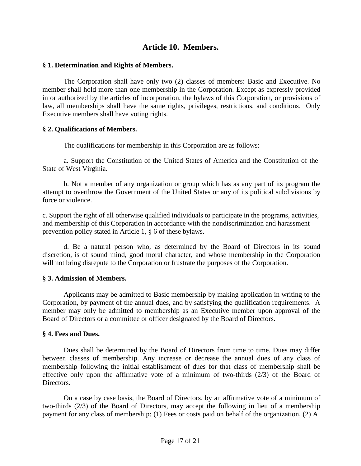# **Article 10. Members.**

### **§ 1. Determination and Rights of Members.**

The Corporation shall have only two (2) classes of members: Basic and Executive. No member shall hold more than one membership in the Corporation. Except as expressly provided in or authorized by the articles of incorporation, the bylaws of this Corporation, or provisions of law, all memberships shall have the same rights, privileges, restrictions, and conditions. Only Executive members shall have voting rights.

### **§ 2. Qualifications of Members.**

The qualifications for membership in this Corporation are as follows:

a. Support the Constitution of the United States of America and the Constitution of the State of West Virginia.

b. Not a member of any organization or group which has as any part of its program the attempt to overthrow the Government of the United States or any of its political subdivisions by force or violence.

c. Support the right of all otherwise qualified individuals to participate in the programs, activities, and membership of this Corporation in accordance with the nondiscrimination and harassment prevention policy stated in Article 1, § 6 of these bylaws.

d. Be a natural person who, as determined by the Board of Directors in its sound discretion, is of sound mind, good moral character, and whose membership in the Corporation will not bring disrepute to the Corporation or frustrate the purposes of the Corporation.

# **§ 3. Admission of Members.**

Applicants may be admitted to Basic membership by making application in writing to the Corporation, by payment of the annual dues, and by satisfying the qualification requirements. A member may only be admitted to membership as an Executive member upon approval of the Board of Directors or a committee or officer designated by the Board of Directors.

### **§ 4. Fees and Dues.**

Dues shall be determined by the Board of Directors from time to time. Dues may differ between classes of membership. Any increase or decrease the annual dues of any class of membership following the initial establishment of dues for that class of membership shall be effective only upon the affirmative vote of a minimum of two-thirds (2/3) of the Board of Directors.

On a case by case basis, the Board of Directors, by an affirmative vote of a minimum of two-thirds (2/3) of the Board of Directors, may accept the following in lieu of a membership payment for any class of membership: (1) Fees or costs paid on behalf of the organization, (2) A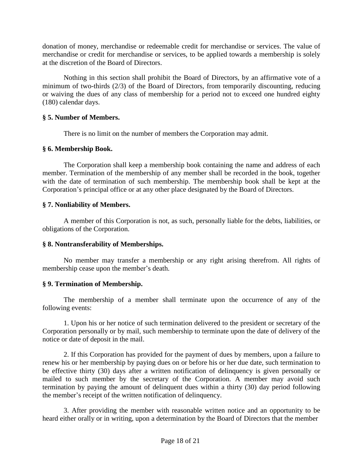donation of money, merchandise or redeemable credit for merchandise or services. The value of merchandise or credit for merchandise or services, to be applied towards a membership is solely at the discretion of the Board of Directors.

Nothing in this section shall prohibit the Board of Directors, by an affirmative vote of a minimum of two-thirds (2/3) of the Board of Directors, from temporarily discounting, reducing or waiving the dues of any class of membership for a period not to exceed one hundred eighty (180) calendar days.

### **§ 5. Number of Members.**

There is no limit on the number of members the Corporation may admit.

# **§ 6. Membership Book.**

The Corporation shall keep a membership book containing the name and address of each member. Termination of the membership of any member shall be recorded in the book, together with the date of termination of such membership. The membership book shall be kept at the Corporation's principal office or at any other place designated by the Board of Directors.

# **§ 7. Nonliability of Members.**

A member of this Corporation is not, as such, personally liable for the debts, liabilities, or obligations of the Corporation.

# **§ 8. Nontransferability of Memberships.**

No member may transfer a membership or any right arising therefrom. All rights of membership cease upon the member's death.

# **§ 9. Termination of Membership.**

The membership of a member shall terminate upon the occurrence of any of the following events:

1. Upon his or her notice of such termination delivered to the president or secretary of the Corporation personally or by mail, such membership to terminate upon the date of delivery of the notice or date of deposit in the mail.

2. If this Corporation has provided for the payment of dues by members, upon a failure to renew his or her membership by paying dues on or before his or her due date, such termination to be effective thirty (30) days after a written notification of delinquency is given personally or mailed to such member by the secretary of the Corporation. A member may avoid such termination by paying the amount of delinquent dues within a thirty (30) day period following the member's receipt of the written notification of delinquency.

3. After providing the member with reasonable written notice and an opportunity to be heard either orally or in writing, upon a determination by the Board of Directors that the member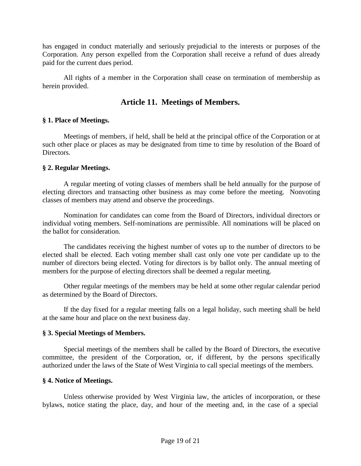has engaged in conduct materially and seriously prejudicial to the interests or purposes of the Corporation. Any person expelled from the Corporation shall receive a refund of dues already paid for the current dues period.

All rights of a member in the Corporation shall cease on termination of membership as herein provided.

# **Article 11. Meetings of Members.**

# **§ 1. Place of Meetings.**

Meetings of members, if held, shall be held at the principal office of the Corporation or at such other place or places as may be designated from time to time by resolution of the Board of Directors.

### **§ 2. Regular Meetings.**

A regular meeting of voting classes of members shall be held annually for the purpose of electing directors and transacting other business as may come before the meeting. Nonvoting classes of members may attend and observe the proceedings.

Nomination for candidates can come from the Board of Directors, individual directors or individual voting members. Self-nominations are permissible. All nominations will be placed on the ballot for consideration.

The candidates receiving the highest number of votes up to the number of directors to be elected shall be elected. Each voting member shall cast only one vote per candidate up to the number of directors being elected. Voting for directors is by ballot only. The annual meeting of members for the purpose of electing directors shall be deemed a regular meeting.

Other regular meetings of the members may be held at some other regular calendar period as determined by the Board of Directors.

If the day fixed for a regular meeting falls on a legal holiday, such meeting shall be held at the same hour and place on the next business day.

### **§ 3. Special Meetings of Members.**

Special meetings of the members shall be called by the Board of Directors, the executive committee, the president of the Corporation, or, if different, by the persons specifically authorized under the laws of the State of West Virginia to call special meetings of the members.

### **§ 4. Notice of Meetings.**

Unless otherwise provided by West Virginia law, the articles of incorporation, or these bylaws, notice stating the place, day, and hour of the meeting and, in the case of a special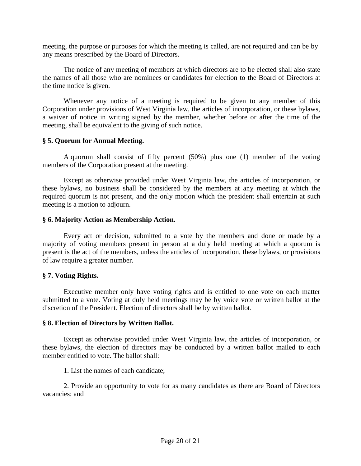meeting, the purpose or purposes for which the meeting is called, are not required and can be by any means prescribed by the Board of Directors.

The notice of any meeting of members at which directors are to be elected shall also state the names of all those who are nominees or candidates for election to the Board of Directors at the time notice is given.

Whenever any notice of a meeting is required to be given to any member of this Corporation under provisions of West Virginia law, the articles of incorporation, or these bylaws, a waiver of notice in writing signed by the member, whether before or after the time of the meeting, shall be equivalent to the giving of such notice.

### **§ 5. Quorum for Annual Meeting.**

A quorum shall consist of fifty percent (50%) plus one (1) member of the voting members of the Corporation present at the meeting.

Except as otherwise provided under West Virginia law, the articles of incorporation, or these bylaws, no business shall be considered by the members at any meeting at which the required quorum is not present, and the only motion which the president shall entertain at such meeting is a motion to adjourn.

### **§ 6. Majority Action as Membership Action.**

Every act or decision, submitted to a vote by the members and done or made by a majority of voting members present in person at a duly held meeting at which a quorum is present is the act of the members, unless the articles of incorporation, these bylaws, or provisions of law require a greater number.

### **§ 7. Voting Rights.**

Executive member only have voting rights and is entitled to one vote on each matter submitted to a vote. Voting at duly held meetings may be by voice vote or written ballot at the discretion of the President. Election of directors shall be by written ballot.

### **§ 8. Election of Directors by Written Ballot.**

Except as otherwise provided under West Virginia law, the articles of incorporation, or these bylaws, the election of directors may be conducted by a written ballot mailed to each member entitled to vote. The ballot shall:

1. List the names of each candidate;

2. Provide an opportunity to vote for as many candidates as there are Board of Directors vacancies; and